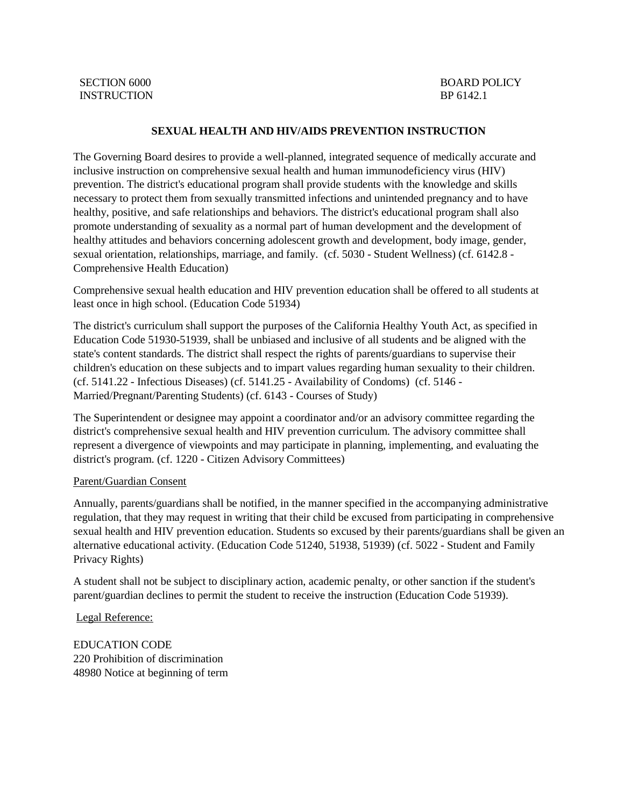#### **SEXUAL HEALTH AND HIV/AIDS PREVENTION INSTRUCTION**

The Governing Board desires to provide a well-planned, integrated sequence of medically accurate and inclusive instruction on comprehensive sexual health and human immunodeficiency virus (HIV) prevention. The district's educational program shall provide students with the knowledge and skills necessary to protect them from sexually transmitted infections and unintended pregnancy and to have healthy, positive, and safe relationships and behaviors. The district's educational program shall also promote understanding of sexuality as a normal part of human development and the development of healthy attitudes and behaviors concerning adolescent growth and development, body image, gender, sexual orientation, relationships, marriage, and family. (cf. 5030 - Student Wellness) (cf. 6142.8 - Comprehensive Health Education)

Comprehensive sexual health education and HIV prevention education shall be offered to all students at least once in high school. (Education Code 51934)

The district's curriculum shall support the purposes of the California Healthy Youth Act, as specified in Education Code 51930-51939, shall be unbiased and inclusive of all students and be aligned with the state's content standards. The district shall respect the rights of parents/guardians to supervise their children's education on these subjects and to impart values regarding human sexuality to their children. (cf. 5141.22 - Infectious Diseases) (cf. 5141.25 - Availability of Condoms) (cf. 5146 - Married/Pregnant/Parenting Students) (cf. 6143 - Courses of Study)

The Superintendent or designee may appoint a coordinator and/or an advisory committee regarding the district's comprehensive sexual health and HIV prevention curriculum. The advisory committee shall represent a divergence of viewpoints and may participate in planning, implementing, and evaluating the district's program. (cf. 1220 - Citizen Advisory Committees)

#### Parent/Guardian Consent

Annually, parents/guardians shall be notified, in the manner specified in the accompanying administrative regulation, that they may request in writing that their child be excused from participating in comprehensive sexual health and HIV prevention education. Students so excused by their parents/guardians shall be given an alternative educational activity. (Education Code 51240, 51938, 51939) (cf. 5022 - Student and Family Privacy Rights)

A student shall not be subject to disciplinary action, academic penalty, or other sanction if the student's parent/guardian declines to permit the student to receive the instruction (Education Code 51939).

Legal Reference:

EDUCATION CODE 220 Prohibition of discrimination 48980 Notice at beginning of term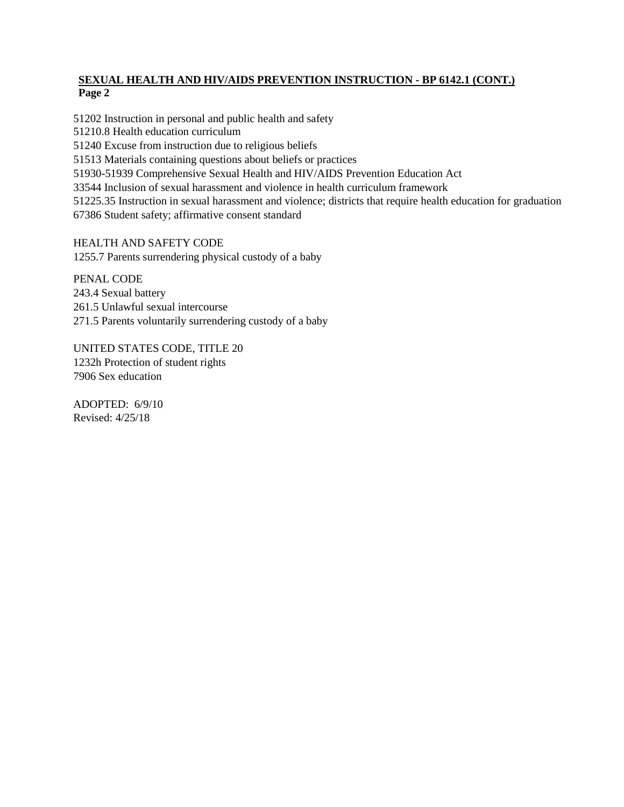## **SEXUAL HEALTH AND HIV/AIDS PREVENTION INSTRUCTION - BP 6142.1 (CONT.) Page 2**

51202 Instruction in personal and public health and safety

51210.8 Health education curriculum

51240 Excuse from instruction due to religious beliefs

51513 Materials containing questions about beliefs or practices

51930-51939 Comprehensive Sexual Health and HIV/AIDS Prevention Education Act

33544 Inclusion of sexual harassment and violence in health curriculum framework

51225.35 Instruction in sexual harassment and violence; districts that require health education for graduation

67386 Student safety; affirmative consent standard

HEALTH AND SAFETY CODE 1255.7 Parents surrendering physical custody of a baby

PENAL CODE 243.4 Sexual battery 261.5 Unlawful sexual intercourse 271.5 Parents voluntarily surrendering custody of a baby

UNITED STATES CODE, TITLE 20 1232h Protection of student rights 7906 Sex education

ADOPTED: 6/9/10 Revised: 4/25/18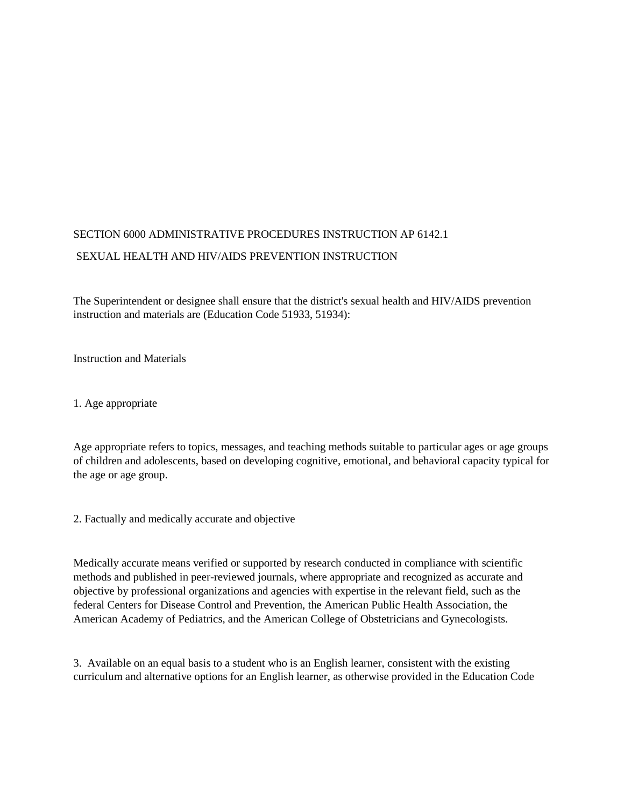# SECTION 6000 ADMINISTRATIVE PROCEDURES INSTRUCTION AP 6142.1 SEXUAL HEALTH AND HIV/AIDS PREVENTION INSTRUCTION

The Superintendent or designee shall ensure that the district's sexual health and HIV/AIDS prevention instruction and materials are (Education Code 51933, 51934):

Instruction and Materials

1. Age appropriate

Age appropriate refers to topics, messages, and teaching methods suitable to particular ages or age groups of children and adolescents, based on developing cognitive, emotional, and behavioral capacity typical for the age or age group.

2. Factually and medically accurate and objective

Medically accurate means verified or supported by research conducted in compliance with scientific methods and published in peer-reviewed journals, where appropriate and recognized as accurate and objective by professional organizations and agencies with expertise in the relevant field, such as the federal Centers for Disease Control and Prevention, the American Public Health Association, the American Academy of Pediatrics, and the American College of Obstetricians and Gynecologists.

3. Available on an equal basis to a student who is an English learner, consistent with the existing curriculum and alternative options for an English learner, as otherwise provided in the Education Code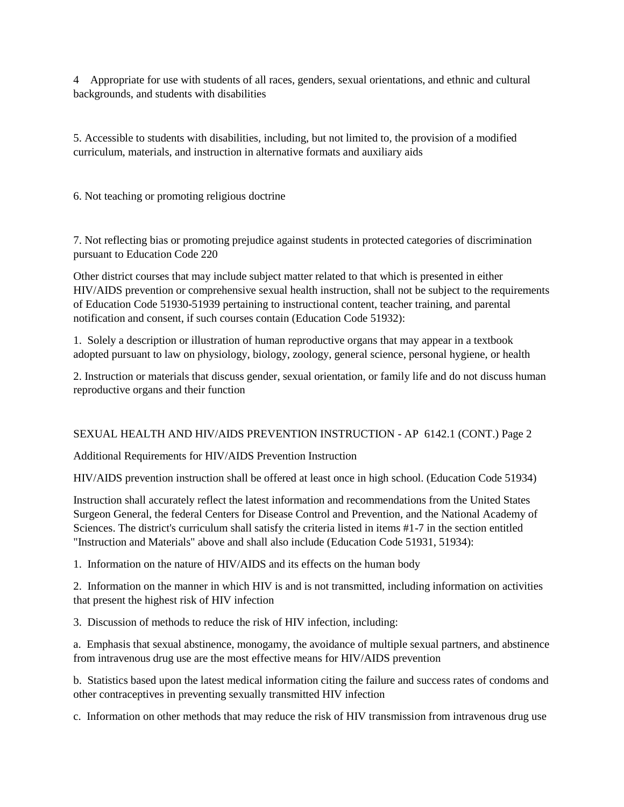4 Appropriate for use with students of all races, genders, sexual orientations, and ethnic and cultural backgrounds, and students with disabilities

5. Accessible to students with disabilities, including, but not limited to, the provision of a modified curriculum, materials, and instruction in alternative formats and auxiliary aids

6. Not teaching or promoting religious doctrine

7. Not reflecting bias or promoting prejudice against students in protected categories of discrimination pursuant to Education Code 220

Other district courses that may include subject matter related to that which is presented in either HIV/AIDS prevention or comprehensive sexual health instruction, shall not be subject to the requirements of Education Code 51930-51939 pertaining to instructional content, teacher training, and parental notification and consent, if such courses contain (Education Code 51932):

1. Solely a description or illustration of human reproductive organs that may appear in a textbook adopted pursuant to law on physiology, biology, zoology, general science, personal hygiene, or health

2. Instruction or materials that discuss gender, sexual orientation, or family life and do not discuss human reproductive organs and their function

### SEXUAL HEALTH AND HIV/AIDS PREVENTION INSTRUCTION - AP 6142.1 (CONT.) Page 2

Additional Requirements for HIV/AIDS Prevention Instruction

HIV/AIDS prevention instruction shall be offered at least once in high school. (Education Code 51934)

Instruction shall accurately reflect the latest information and recommendations from the United States Surgeon General, the federal Centers for Disease Control and Prevention, and the National Academy of Sciences. The district's curriculum shall satisfy the criteria listed in items #1-7 in the section entitled "Instruction and Materials" above and shall also include (Education Code 51931, 51934):

1. Information on the nature of HIV/AIDS and its effects on the human body

2. Information on the manner in which HIV is and is not transmitted, including information on activities that present the highest risk of HIV infection

3. Discussion of methods to reduce the risk of HIV infection, including:

a. Emphasis that sexual abstinence, monogamy, the avoidance of multiple sexual partners, and abstinence from intravenous drug use are the most effective means for HIV/AIDS prevention

b. Statistics based upon the latest medical information citing the failure and success rates of condoms and other contraceptives in preventing sexually transmitted HIV infection

c. Information on other methods that may reduce the risk of HIV transmission from intravenous drug use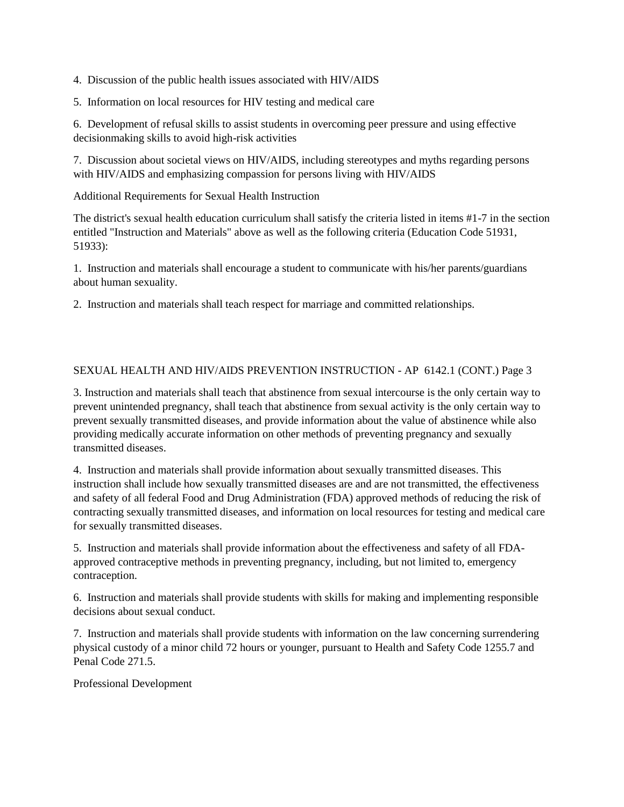4. Discussion of the public health issues associated with HIV/AIDS

5. Information on local resources for HIV testing and medical care

6. Development of refusal skills to assist students in overcoming peer pressure and using effective decisionmaking skills to avoid high-risk activities

7. Discussion about societal views on HIV/AIDS, including stereotypes and myths regarding persons with HIV/AIDS and emphasizing compassion for persons living with HIV/AIDS

Additional Requirements for Sexual Health Instruction

The district's sexual health education curriculum shall satisfy the criteria listed in items #1-7 in the section entitled "Instruction and Materials" above as well as the following criteria (Education Code 51931, 51933):

1. Instruction and materials shall encourage a student to communicate with his/her parents/guardians about human sexuality.

2. Instruction and materials shall teach respect for marriage and committed relationships.

### SEXUAL HEALTH AND HIV/AIDS PREVENTION INSTRUCTION - AP 6142.1 (CONT.) Page 3

3. Instruction and materials shall teach that abstinence from sexual intercourse is the only certain way to prevent unintended pregnancy, shall teach that abstinence from sexual activity is the only certain way to prevent sexually transmitted diseases, and provide information about the value of abstinence while also providing medically accurate information on other methods of preventing pregnancy and sexually transmitted diseases.

4. Instruction and materials shall provide information about sexually transmitted diseases. This instruction shall include how sexually transmitted diseases are and are not transmitted, the effectiveness and safety of all federal Food and Drug Administration (FDA) approved methods of reducing the risk of contracting sexually transmitted diseases, and information on local resources for testing and medical care for sexually transmitted diseases.

5. Instruction and materials shall provide information about the effectiveness and safety of all FDAapproved contraceptive methods in preventing pregnancy, including, but not limited to, emergency contraception.

6. Instruction and materials shall provide students with skills for making and implementing responsible decisions about sexual conduct.

7. Instruction and materials shall provide students with information on the law concerning surrendering physical custody of a minor child 72 hours or younger, pursuant to Health and Safety Code 1255.7 and Penal Code 271.5.

Professional Development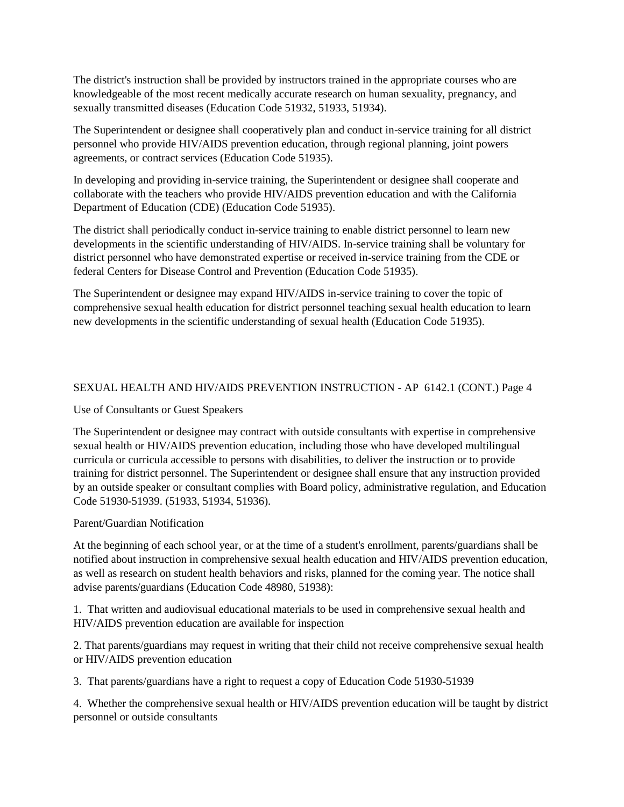The district's instruction shall be provided by instructors trained in the appropriate courses who are knowledgeable of the most recent medically accurate research on human sexuality, pregnancy, and sexually transmitted diseases (Education Code 51932, 51933, 51934).

The Superintendent or designee shall cooperatively plan and conduct in-service training for all district personnel who provide HIV/AIDS prevention education, through regional planning, joint powers agreements, or contract services (Education Code 51935).

In developing and providing in-service training, the Superintendent or designee shall cooperate and collaborate with the teachers who provide HIV/AIDS prevention education and with the California Department of Education (CDE) (Education Code 51935).

The district shall periodically conduct in-service training to enable district personnel to learn new developments in the scientific understanding of HIV/AIDS. In-service training shall be voluntary for district personnel who have demonstrated expertise or received in-service training from the CDE or federal Centers for Disease Control and Prevention (Education Code 51935).

The Superintendent or designee may expand HIV/AIDS in-service training to cover the topic of comprehensive sexual health education for district personnel teaching sexual health education to learn new developments in the scientific understanding of sexual health (Education Code 51935).

## SEXUAL HEALTH AND HIV/AIDS PREVENTION INSTRUCTION - AP 6142.1 (CONT.) Page 4

### Use of Consultants or Guest Speakers

The Superintendent or designee may contract with outside consultants with expertise in comprehensive sexual health or HIV/AIDS prevention education, including those who have developed multilingual curricula or curricula accessible to persons with disabilities, to deliver the instruction or to provide training for district personnel. The Superintendent or designee shall ensure that any instruction provided by an outside speaker or consultant complies with Board policy, administrative regulation, and Education Code 51930-51939. (51933, 51934, 51936).

### Parent/Guardian Notification

At the beginning of each school year, or at the time of a student's enrollment, parents/guardians shall be notified about instruction in comprehensive sexual health education and HIV/AIDS prevention education, as well as research on student health behaviors and risks, planned for the coming year. The notice shall advise parents/guardians (Education Code 48980, 51938):

1. That written and audiovisual educational materials to be used in comprehensive sexual health and HIV/AIDS prevention education are available for inspection

2. That parents/guardians may request in writing that their child not receive comprehensive sexual health or HIV/AIDS prevention education

3. That parents/guardians have a right to request a copy of Education Code 51930-51939

4. Whether the comprehensive sexual health or HIV/AIDS prevention education will be taught by district personnel or outside consultants